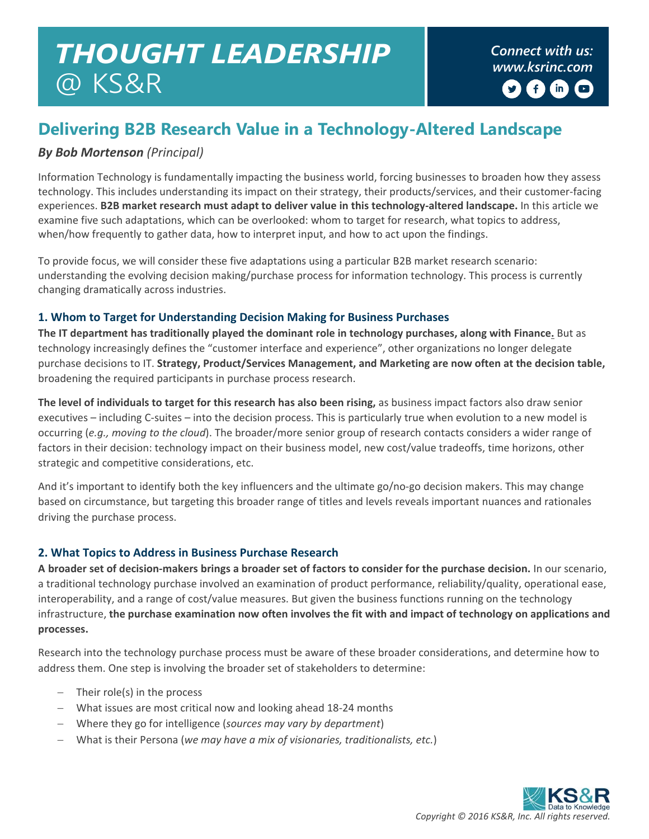# *THOUGHT LEADERSHIP* @ KS&R

*Connect with us: www.ksrinc.com*  $\left( \begin{matrix} 1 \\ 1 \end{matrix} \right)$  $(m)$  $\Box$ 

## **Delivering B2B Research Value in a Technology-Altered Landscape**

#### *By Bob Mortenson (Principal)*

Information Technology is fundamentally impacting the business world, forcing businesses to broaden how they assess technology. This includes understanding its impact on their strategy, their products/services, and their customer-facing experiences. **B2B market research must adapt to deliver value in this technology-altered landscape.** In this article we examine five such adaptations, which can be overlooked: whom to target for research, what topics to address, when/how frequently to gather data, how to interpret input, and how to act upon the findings.

To provide focus, we will consider these five adaptations using a particular B2B market research scenario: understanding the evolving decision making/purchase process for information technology. This process is currently changing dramatically across industries.

#### **1. Whom to Target for Understanding Decision Making for Business Purchases**

**The IT department has traditionally played the dominant role in technology purchases, along with Finance.** But as technology increasingly defines the "customer interface and experience", other organizations no longer delegate purchase decisions to IT. **Strategy, Product/Services Management, and Marketing are now often at the decision table,** broadening the required participants in purchase process research.

**The level of individuals to target for this research has also been rising,** as business impact factors also draw senior executives – including C-suites – into the decision process. This is particularly true when evolution to a new model is occurring (*e.g., moving to the cloud*). The broader/more senior group of research contacts considers a wider range of factors in their decision: technology impact on their business model, new cost/value tradeoffs, time horizons, other strategic and competitive considerations, etc.

And it's important to identify both the key influencers and the ultimate go/no-go decision makers. This may change based on circumstance, but targeting this broader range of titles and levels reveals important nuances and rationales driving the purchase process.

#### **2. What Topics to Address in Business Purchase Research**

**A broader set of decision-makers brings a broader set of factors to consider for the purchase decision.** In our scenario, a traditional technology purchase involved an examination of product performance, reliability/quality, operational ease, interoperability, and a range of cost/value measures. But given the business functions running on the technology infrastructure, **the purchase examination now often involves the fit with and impact of technology on applications and processes.**

Research into the technology purchase process must be aware of these broader considerations, and determine how to address them. One step is involving the broader set of stakeholders to determine:

- Their role(s) in the process
- What issues are most critical now and looking ahead 18-24 months
- Where they go for intelligence (*sources may vary by department*)
- What is their Persona (*we may have a mix of visionaries, traditionalists, etc.*)

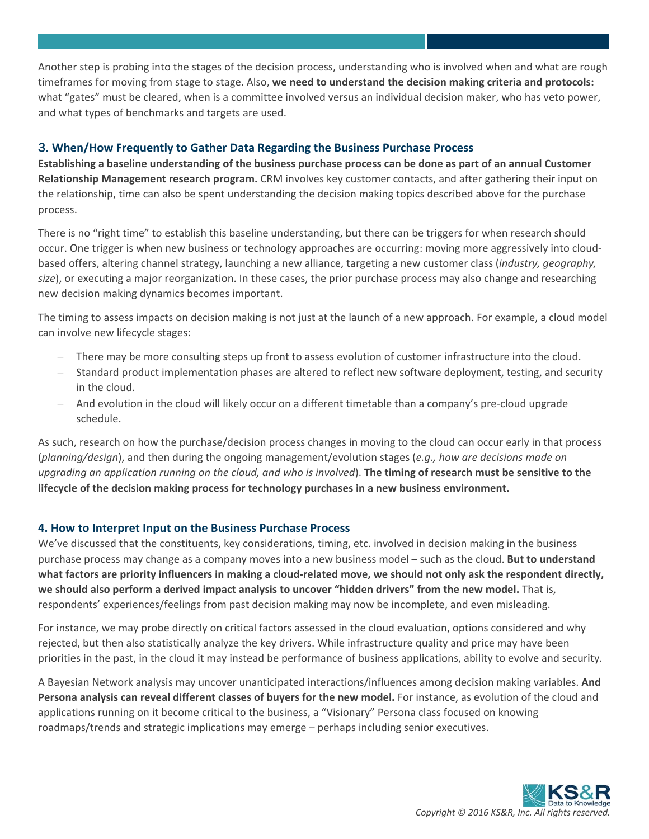Another step is probing into the stages of the decision process, understanding who is involved when and what are rough timeframes for moving from stage to stage. Also, **we need to understand the decision making criteria and protocols:** what "gates" must be cleared, when is a committee involved versus an individual decision maker, who has veto power, and what types of benchmarks and targets are used.

#### 3. **When/How Frequently to Gather Data Regarding the Business Purchase Process**

**Establishing a baseline understanding of the business purchase process can be done as part of an annual Customer Relationship Management research program.** CRM involves key customer contacts, and after gathering their input on the relationship, time can also be spent understanding the decision making topics described above for the purchase process.

There is no "right time" to establish this baseline understanding, but there can be triggers for when research should occur. One trigger is when new business or technology approaches are occurring: moving more aggressively into cloudbased offers, altering channel strategy, launching a new alliance, targeting a new customer class (*industry, geography, size*), or executing a major reorganization. In these cases, the prior purchase process may also change and researching new decision making dynamics becomes important.

The timing to assess impacts on decision making is not just at the launch of a new approach. For example, a cloud model can involve new lifecycle stages:

- There may be more consulting steps up front to assess evolution of customer infrastructure into the cloud.
- Standard product implementation phases are altered to reflect new software deployment, testing, and security in the cloud.
- And evolution in the cloud will likely occur on a different timetable than a company's pre-cloud upgrade schedule.

As such, research on how the purchase/decision process changes in moving to the cloud can occur early in that process (*planning/design*), and then during the ongoing management/evolution stages (*e.g., how are decisions made on upgrading an application running on the cloud, and who is involved*). **The timing of research must be sensitive to the lifecycle of the decision making process for technology purchases in a new business environment.** 

#### **4. How to Interpret Input on the Business Purchase Process**

We've discussed that the constituents, key considerations, timing, etc. involved in decision making in the business purchase process may change as a company moves into a new business model – such as the cloud. **But to understand what factors are priority influencers in making a cloud-related move, we should not only ask the respondent directly, we should also perform a derived impact analysis to uncover "hidden drivers" from the new model.** That is, respondents' experiences/feelings from past decision making may now be incomplete, and even misleading.

For instance, we may probe directly on critical factors assessed in the cloud evaluation, options considered and why rejected, but then also statistically analyze the key drivers. While infrastructure quality and price may have been priorities in the past, in the cloud it may instead be performance of business applications, ability to evolve and security.

A Bayesian Network analysis may uncover unanticipated interactions/influences among decision making variables. **And Persona analysis can reveal different classes of buyers for the new model.** For instance, as evolution of the cloud and applications running on it become critical to the business, a "Visionary" Persona class focused on knowing roadmaps/trends and strategic implications may emerge – perhaps including senior executives.